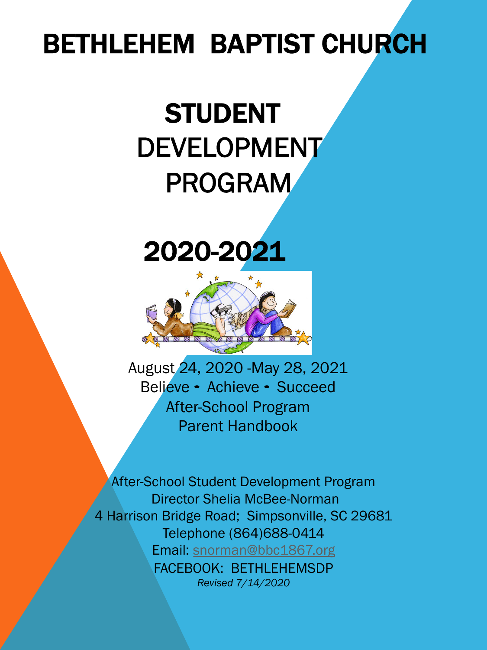# BETHLEHEM BAPTIST CHURCH

# STUDENT DEVELOPMENT PROGRAM

## 2020-2021



August 24, 2020 -May 28, 2021 Believe ∙ Achieve ∙ Succeed After-School Program Parent Handbook

After-School [Student Development Pr](mailto:snorman@bbc1867.org)ogram Director Shelia McBee-Norman 4 Harrison Bridge Road; Simpsonville, SC 29681 Telephone (864)688-0414 Email: snorman@bbc1867.org FACEBOOK: BETHLEHEMSDP *Revised 7/14/2020*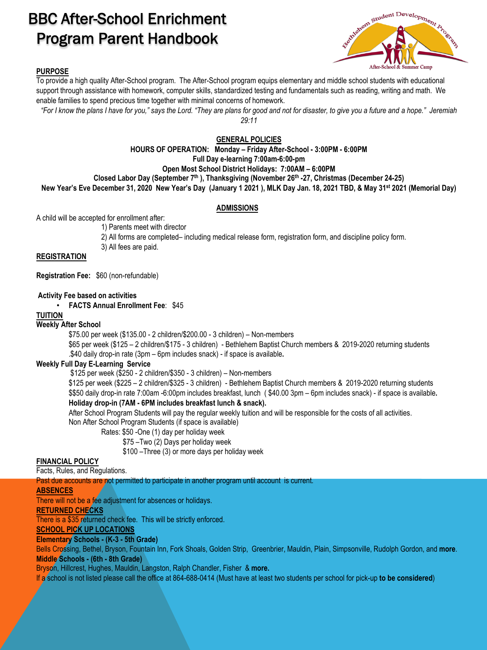### BBC After-School Enrichment Program Parent Handbook



### **PURPOSE**

To provide a high quality After-School program. The After-School program equips elementary and middle school students with educational support through assistance with homework, computer skills, standardized testing and fundamentals such as reading, writing and math. We enable families to spend precious time together with minimal concerns of homework.

*"For I know the plans I have for you," says the Lord. "They are plans for good and not for disaster, to give you a future and a hope." Jeremiah 29:11*

### **GENERAL POLICIES**

**HOURS OF OPERATION: Monday – Friday After-School - 3:00PM - 6:00PM Full Day e-learning 7:00am-6:00-pm** 

**Open Most School District Holidays: 7:00AM – 6:00PM** 

**Closed Labor Day (September 7th ), Thanksgiving (November 26th -27, Christmas (December 24-25)**

**New Year's Eve December 31, 2020 New Year's Day (January 1 2021 ), MLK Day Jan. 18, 2021 TBD, & May 31st 2021 (Memorial Day)**

### **ADMISSIONS**

A child will be accepted for enrollment after:

1) Parents meet with director

2) All forms are completed– including medical release form, registration form, and discipline policy form.

3) All fees are paid.

### **REGISTRATION**

**Registration Fee:** \$60 (non-refundable)

#### **Activity Fee based on activities**

• **FACTS Annual Enrollment Fee**: \$45

### **TUITION**

#### **Weekly After School**

\$75.00 per week (\$135.00 - 2 children/\$200.00 - 3 children) – Non-members

\$65 per week (\$125 – 2 children/\$175 - 3 children) - Bethlehem Baptist Church members & 2019-2020 returning students .\$40 daily drop-in rate (3pm – 6pm includes snack) - if space is available**.** 

### **Weekly Full Day E-Learning Service**

\$125 per week (\$250 - 2 children/\$350 - 3 children) – Non-members

\$125 per week (\$225 – 2 children/\$325 - 3 children) - Bethlehem Baptist Church members & 2019-2020 returning students \$\$50 daily drop-in rate 7:00am -6:00pm includes breakfast, lunch ( \$40.00 3pm – 6pm includes snack) - if space is available**. Holiday drop-in (7AM - 6PM includes breakfast lunch & snack).**

After School Program Students will pay the regular weekly tuition and will be responsible for the costs of all activities.

Non After School Program Students (if space is available)

Rates: \$50 -One (1) day per holiday week

\$75 –Two (2) Days per holiday week

\$100 –Three (3) or more days per holiday week

### **FINANCIAL POLICY**

Facts, Rules, and Regulations.

Past due accounts are not permitted to participate in another program until account is current.

### **ABSENCES**

There will not be a fee adjustment for absences or holidays.

### **RETURNED CHECKS**

There is a \$35 returned check fee. This will be strictly enforced.

### **SCHOOL PICK UP LOCATIONS**

### **Elementary Schools - (K-3 - 5th Grade)**

Bells Crossing, Bethel, Bryson, Fountain Inn, Fork Shoals, Golden Strip, Greenbrier, Mauldin, Plain, Simpsonville, Rudolph Gordon, and **more**. **Middle Schools - (6th - 8th Grade)**

Bryson, Hillcrest, Hughes, Mauldin, Langston, Ralph Chandler, Fisher & **more.**

If a school is not listed please call the office at 864-688-0414 (Must have at least two students per school for pick-up **to be considered**)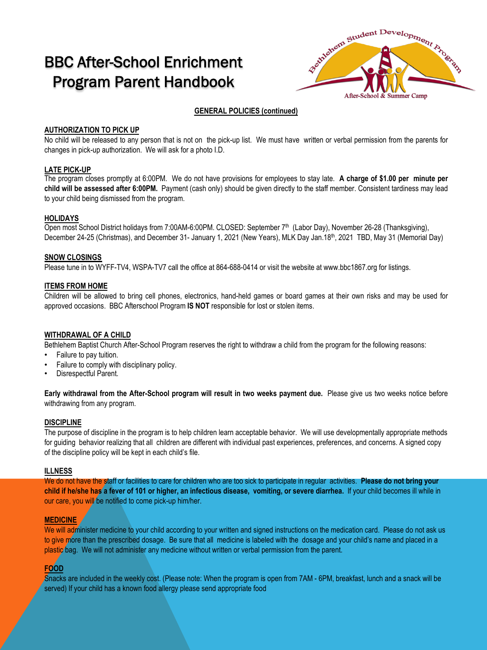### BBC After-School Enrichment Program Parent Handbook



### **GENERAL POLICIES (continued)**

### **AUTHORIZATION TO PICK UP**

No child will be released to any person that is not on the pick-up list. We must have written or verbal permission from the parents for changes in pick-up authorization. We will ask for a photo I.D.

### **LATE PICK-UP**

The program closes promptly at 6:00PM. We do not have provisions for employees to stay late. **A charge of \$1.00 per minute per child will be assessed after 6:00PM.** Payment (cash only) should be given directly to the staff member. Consistent tardiness may lead to your child being dismissed from the program.

### **HOLIDAYS**

Open most School District holidays from 7:00AM-6:00PM. CLOSED: September 7th (Labor Day), November 26-28 (Thanksgiving), December 24-25 (Christmas), and December 31- January 1, 2021 (New Years), MLK Day Jan.18<sup>th</sup>, 2021 TBD, May 31 (Memorial Day)

### **SNOW CLOSINGS**

Please tune in to WYFF-TV4, WSPA-TV7 call the office at 864-688-0414 or visit the website at www.bbc1867.org for listings.

### **ITEMS FROM HOME**

Children will be allowed to bring cell phones, electronics, hand-held games or board games at their own risks and may be used for approved occasions. BBC Afterschool Program **IS NOT** responsible for lost or stolen items.

### **WITHDRAWAL OF A CHILD**

Bethlehem Baptist Church After-School Program reserves the right to withdraw a child from the program for the following reasons:

- Failure to pay tuition.
- Failure to comply with disciplinary policy.
- Disrespectful Parent.

**Early withdrawal from the After-School program will result in two weeks payment due.** Please give us two weeks notice before withdrawing from any program.

### **DISCIPLINE**

The purpose of discipline in the program is to help children learn acceptable behavior. We will use developmentally appropriate methods for guiding behavior realizing that all children are different with individual past experiences, preferences, and concerns. A signed copy of the discipline policy will be kept in each child's file.

### **ILLNESS**

We do not have the staff or facilities to care for children who are too sick to participate in regular activities. **Please do not bring your child if he/she has a fever of 101 or higher, an infectious disease, vomiting, or severe diarrhea.** If your child becomes ill while in our care, you will be notified to come pick-up him/her.

### **MEDICINE**

We will administer medicine to your child according to your written and signed instructions on the medication card. Please do not ask us to give more than the prescribed dosage. Be sure that all medicine is labeled with the dosage and your child's name and placed in a plastic bag. We will not administer any medicine without written or verbal permission from the parent.

### **FOOD**

Snacks are included in the weekly cost. (Please note: When the program is open from 7AM - 6PM, breakfast, lunch and a snack will be served) If your child has a known food allergy please send appropriate food